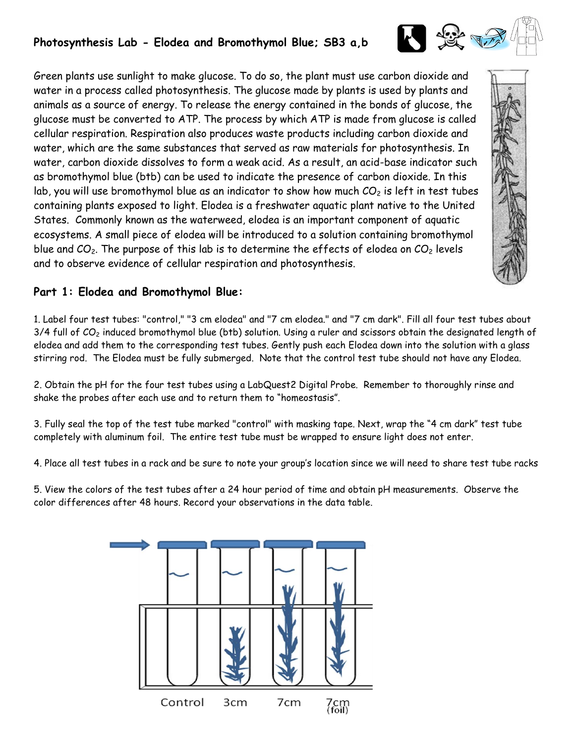## **Photosynthesis Lab - Elodea and Bromothymol Blue; SB3 a,b**

Green plants use sunlight to make glucose. To do so, the plant must use carbon dioxide and water in a process called photosynthesis. The glucose made by plants is used by plants and animals as a source of energy. To release the energy contained in the bonds of glucose, the glucose must be converted to ATP. The process by which ATP is made from glucose is called cellular respiration. Respiration also produces waste products including carbon dioxide and water, which are the same substances that served as raw materials for photosynthesis. In water, carbon dioxide dissolves to form a weak acid. As a result, an acid-base indicator such as bromothymol blue (btb) can be used to indicate the presence of carbon dioxide. In this lab, you will use bromothymol blue as an indicator to show how much  $CO<sub>2</sub>$  is left in test tubes containing plants exposed to light. Elodea is a freshwater aquatic plant native to the United States. Commonly known as the waterweed, elodea is an important component of aquatic ecosystems. A small piece of elodea will be introduced to a solution containing bromothymol blue and  $CO<sub>2</sub>$ . The purpose of this lab is to determine the effects of elodea on  $CO<sub>2</sub>$  levels and to observe evidence of cellular respiration and photosynthesis.

# 日安元

### **Part 1: Elodea and Bromothymol Blue:**

1. Label four test tubes: "control," "3 cm elodea" and "7 cm elodea." and "7 cm dark". Fill all four test tubes about  $3/4$  full of  $CO<sub>2</sub>$  induced bromothymol blue (btb) solution. Using a ruler and scissors obtain the designated length of elodea and add them to the corresponding test tubes. Gently push each Elodea down into the solution with a glass stirring rod. The Elodea must be fully submerged. Note that the control test tube should not have any Elodea.

2. Obtain the pH for the four test tubes using a LabQuest2 Digital Probe. Remember to thoroughly rinse and shake the probes after each use and to return them to "homeostasis".

3. Fully seal the top of the test tube marked "control" with masking tape. Next, wrap the "4 cm dark" test tube completely with aluminum foil. The entire test tube must be wrapped to ensure light does not enter.

4. Place all test tubes in a rack and be sure to note your group's location since we will need to share test tube racks

5. View the colors of the test tubes after a 24 hour period of time and obtain pH measurements. Observe the color differences after 48 hours. Record your observations in the data table.

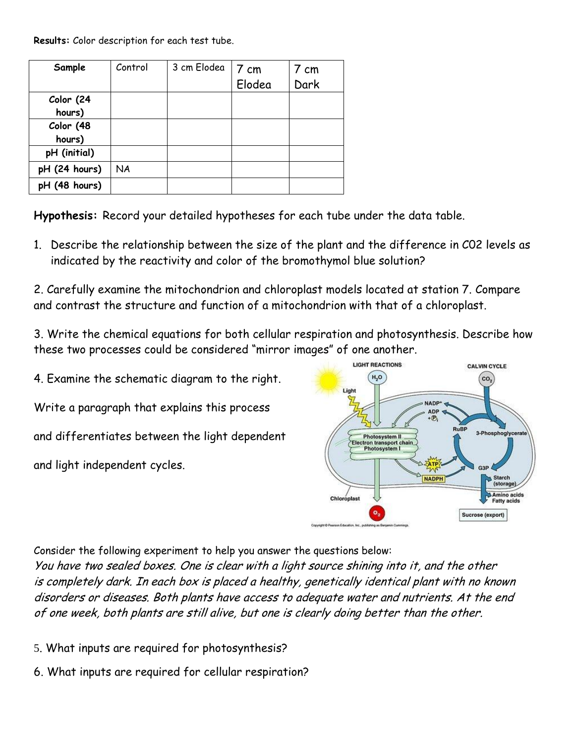**Results:** Color description for each test tube.

| Sample              | Control   | 3 cm Elodea | 7 cm   | 7 cm |
|---------------------|-----------|-------------|--------|------|
|                     |           |             | Elodea | Dark |
| Color (24<br>hours) |           |             |        |      |
| Color (48           |           |             |        |      |
| hours)              |           |             |        |      |
| pH (initial)        |           |             |        |      |
| pH (24 hours)       | <b>NA</b> |             |        |      |
| pH (48 hours)       |           |             |        |      |

**Hypothesis:** Record your detailed hypotheses for each tube under the data table.

1. Describe the relationship between the size of the plant and the difference in C02 levels as indicated by the reactivity and color of the bromothymol blue solution?

2. Carefully examine the mitochondrion and chloroplast models located at station 7. Compare and contrast the structure and function of a mitochondrion with that of a chloroplast.

3. Write the chemical equations for both cellular respiration and photosynthesis. Describe how these two processes could be considered "mirror images" of one another.

4. Examine the schematic diagram to the right. Write a paragraph that explains this process and differentiates between the light dependent

and light independent cycles.



Consider the following experiment to help you answer the questions below:

You have two sealed boxes. One is clear with a light source shining into it, and the other is completely dark. In each box is placed a healthy, genetically identical plant with no known disorders or diseases. Both plants have access to adequate water and nutrients. At the end of one week, both plants are still alive, but one is clearly doing better than the other.

- 5. What inputs are required for photosynthesis?
- 6. What inputs are required for cellular respiration?